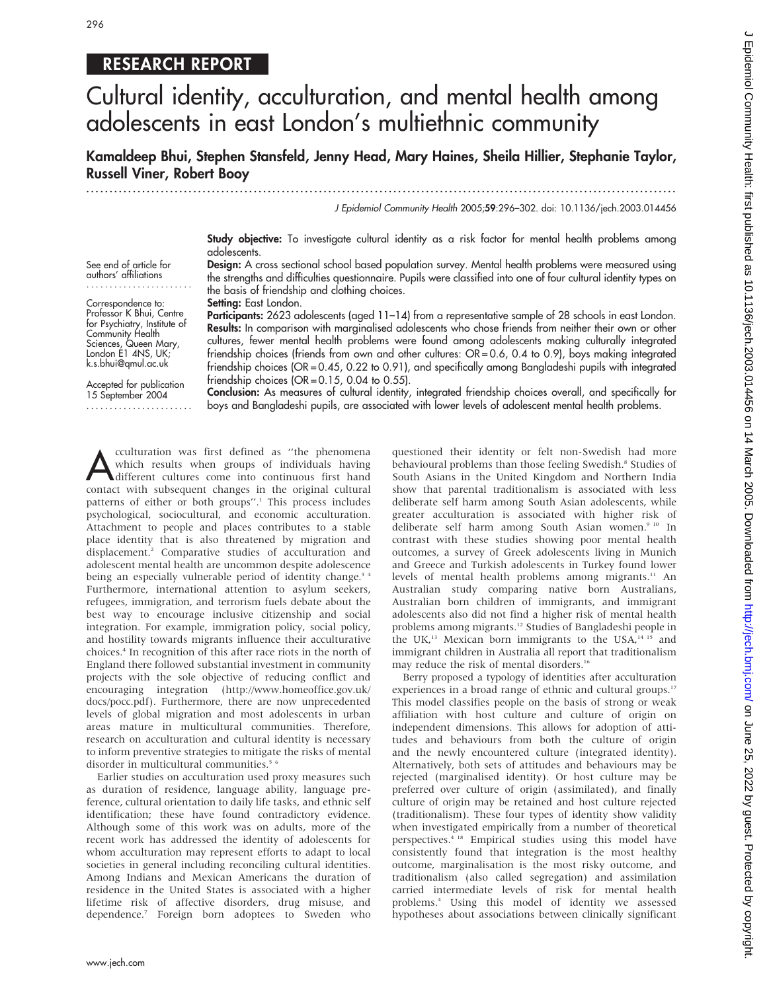# RESEARCH REPORT

# Cultural identity, acculturation, and mental health among adolescents in east London's multiethnic community

Kamaldeep Bhui, Stephen Stansfeld, Jenny Head, Mary Haines, Sheila Hillier, Stephanie Taylor, Russell Viner, Robert Booy

...............................................................................................................................

J Epidemiol Community Health 2005;59:296–302. doi: 10.1136/jech.2003.014456

Study objective: To investigate cultural identity as a risk factor for mental health problems among adolescents.

Design: A cross sectional school based population survey. Mental health problems were measured using the strengths and difficulties questionnaire. Pupils were classified into one of four cultural identity types on the basis of friendship and clothing choices.

Setting: East London.

Participants: 2623 adolescents (aged 11-14) from a representative sample of 28 schools in east London. Results: In comparison with marginalised adolescents who chose friends from neither their own or other cultures, fewer mental health problems were found among adolescents making culturally integrated friendship choices (friends from own and other cultures: OR = 0.6, 0.4 to 0.9), boys making integrated friendship choices (OR = 0.45, 0.22 to 0.91), and specifically among Bangladeshi pupils with integrated friendship choices ( $OR = 0.15$ , 0.04 to 0.55).

Accepted for publication 15 September 2004 .......................

Conclusion: As measures of cultural identity, integrated friendship choices overall, and specifically for boys and Bangladeshi pupils, are associated with lower levels of adolescent mental health problems.

**A** cculturation was first defined as "the phenomena" which results when groups of individuals having different cultures come into continuous first hand which results when groups of individuals having contact with subsequent changes in the original cultural patterns of either or both groups".<sup>1</sup> This process includes psychological, sociocultural, and economic acculturation. Attachment to people and places contributes to a stable place identity that is also threatened by migration and displacement.<sup>2</sup> Comparative studies of acculturation and adolescent mental health are uncommon despite adolescence being an especially vulnerable period of identity change.<sup>34</sup> Furthermore, international attention to asylum seekers, refugees, immigration, and terrorism fuels debate about the best way to encourage inclusive citizenship and social integration. For example, immigration policy, social policy, and hostility towards migrants influence their acculturative choices.4 In recognition of this after race riots in the north of England there followed substantial investment in community projects with the sole objective of reducing conflict and encouraging integration (http://www.homeoffice.gov.uk/ docs/pocc.pdf). Furthermore, there are now unprecedented levels of global migration and most adolescents in urban areas mature in multicultural communities. Therefore, research on acculturation and cultural identity is necessary to inform preventive strategies to mitigate the risks of mental disorder in multicultural communities.<sup>5 6</sup>

Earlier studies on acculturation used proxy measures such as duration of residence, language ability, language preference, cultural orientation to daily life tasks, and ethnic self identification; these have found contradictory evidence. Although some of this work was on adults, more of the recent work has addressed the identity of adolescents for whom acculturation may represent efforts to adapt to local societies in general including reconciling cultural identities. Among Indians and Mexican Americans the duration of residence in the United States is associated with a higher lifetime risk of affective disorders, drug misuse, and dependence.7 Foreign born adoptees to Sweden who questioned their identity or felt non-Swedish had more behavioural problems than those feeling Swedish.<sup>8</sup> Studies of South Asians in the United Kingdom and Northern India show that parental traditionalism is associated with less deliberate self harm among South Asian adolescents, while greater acculturation is associated with higher risk of deliberate self harm among South Asian women.<sup>9 10</sup> In contrast with these studies showing poor mental health outcomes, a survey of Greek adolescents living in Munich and Greece and Turkish adolescents in Turkey found lower levels of mental health problems among migrants.<sup>11</sup> An Australian study comparing native born Australians, Australian born children of immigrants, and immigrant adolescents also did not find a higher risk of mental health problems among migrants.<sup>12</sup> Studies of Bangladeshi people in the UK,<sup>13</sup> Mexican born immigrants to the USA,<sup>14 15</sup> and immigrant children in Australia all report that traditionalism may reduce the risk of mental disorders.<sup>16</sup>

Berry proposed a typology of identities after acculturation experiences in a broad range of ethnic and cultural groups.<sup>17</sup> This model classifies people on the basis of strong or weak affiliation with host culture and culture of origin on independent dimensions. This allows for adoption of attitudes and behaviours from both the culture of origin and the newly encountered culture (integrated identity). Alternatively, both sets of attitudes and behaviours may be rejected (marginalised identity). Or host culture may be preferred over culture of origin (assimilated), and finally culture of origin may be retained and host culture rejected (traditionalism). These four types of identity show validity when investigated empirically from a number of theoretical perspectives.4 18 Empirical studies using this model have consistently found that integration is the most healthy outcome, marginalisation is the most risky outcome, and traditionalism (also called segregation) and assimilation carried intermediate levels of risk for mental health problems.4 Using this model of identity we assessed hypotheses about associations between clinically significant

....................... Correspondence to: Professor K Bhui, Centre for Psychiatry, Institute of Community Health Sciences, Queen Mary, London E1 4NS, UK; k.s.bhui@qmul.ac.uk

See end of article for authors' affiliations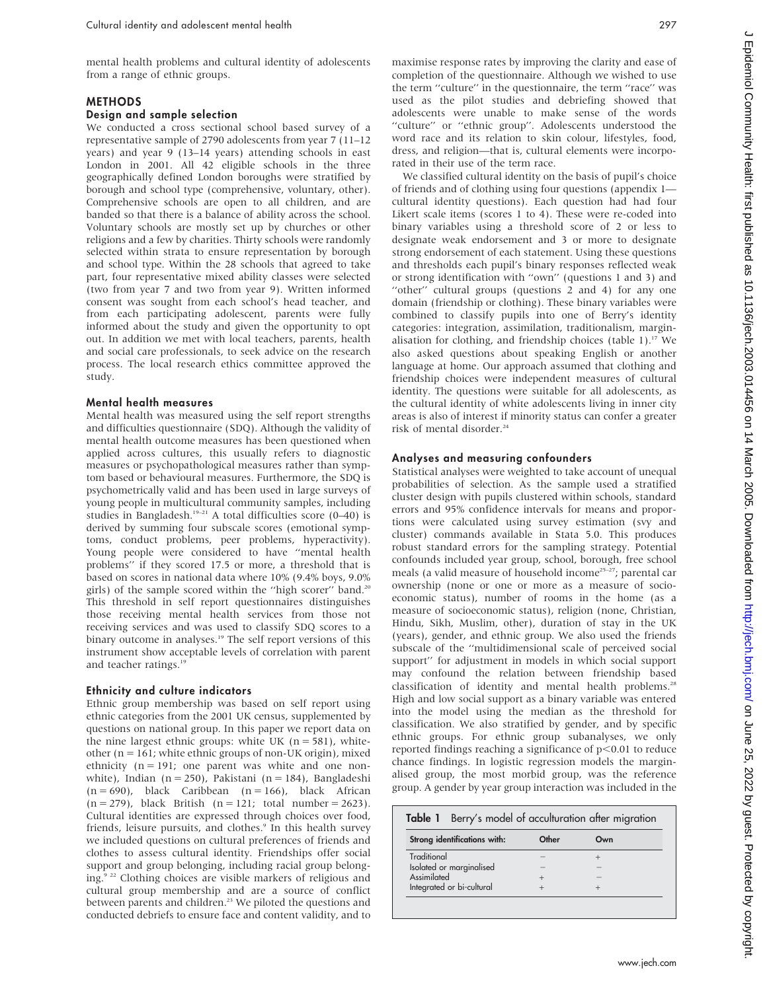mental health problems and cultural identity of adolescents from a range of ethnic groups.

#### METHODS

#### Design and sample selection

We conducted a cross sectional school based survey of a representative sample of 2790 adolescents from year 7 (11–12 years) and year 9 (13–14 years) attending schools in east London in 2001. All 42 eligible schools in the three geographically defined London boroughs were stratified by borough and school type (comprehensive, voluntary, other). Comprehensive schools are open to all children, and are banded so that there is a balance of ability across the school. Voluntary schools are mostly set up by churches or other religions and a few by charities. Thirty schools were randomly selected within strata to ensure representation by borough and school type. Within the 28 schools that agreed to take part, four representative mixed ability classes were selected (two from year 7 and two from year 9). Written informed consent was sought from each school's head teacher, and from each participating adolescent, parents were fully informed about the study and given the opportunity to opt out. In addition we met with local teachers, parents, health and social care professionals, to seek advice on the research process. The local research ethics committee approved the study.

#### Mental health measures

Mental health was measured using the self report strengths and difficulties questionnaire (SDQ). Although the validity of mental health outcome measures has been questioned when applied across cultures, this usually refers to diagnostic measures or psychopathological measures rather than symptom based or behavioural measures. Furthermore, the SDQ is psychometrically valid and has been used in large surveys of young people in multicultural community samples, including studies in Bangladesh.<sup>19-21</sup> A total difficulties score (0-40) is derived by summing four subscale scores (emotional symptoms, conduct problems, peer problems, hyperactivity). Young people were considered to have ''mental health problems'' if they scored 17.5 or more, a threshold that is based on scores in national data where 10% (9.4% boys, 9.0% girls) of the sample scored within the "high scorer" band.<sup>20</sup> This threshold in self report questionnaires distinguishes those receiving mental health services from those not receiving services and was used to classify SDQ scores to a binary outcome in analyses.<sup>19</sup> The self report versions of this instrument show acceptable levels of correlation with parent and teacher ratings.<sup>19</sup>

#### Ethnicity and culture indicators

Ethnic group membership was based on self report using ethnic categories from the 2001 UK census, supplemented by questions on national group. In this paper we report data on the nine largest ethnic groups: white UK ( $n = 581$ ), whiteother ( $n = 161$ ; white ethnic groups of non-UK origin), mixed ethnicity  $(n = 191)$ ; one parent was white and one nonwhite), Indian ( $n = 250$ ), Pakistani ( $n = 184$ ), Bangladeshi  $(n = 690)$ , black Caribbean  $(n = 166)$ , black African  $(n = 279)$ , black British  $(n = 121;$  total number = 2623). Cultural identities are expressed through choices over food, friends, leisure pursuits, and clothes.<sup>9</sup> In this health survey we included questions on cultural preferences of friends and clothes to assess cultural identity. Friendships offer social support and group belonging, including racial group belonging.9 22 Clothing choices are visible markers of religious and cultural group membership and are a source of conflict between parents and children.<sup>23</sup> We piloted the questions and conducted debriefs to ensure face and content validity, and to maximise response rates by improving the clarity and ease of completion of the questionnaire. Although we wished to use the term "culture" in the questionnaire, the term "race" was used as the pilot studies and debriefing showed that adolescents were unable to make sense of the words "culture" or "ethnic group". Adolescents understood the word race and its relation to skin colour, lifestyles, food, dress, and religion—that is, cultural elements were incorporated in their use of the term race.

We classified cultural identity on the basis of pupil's choice of friends and of clothing using four questions (appendix 1 cultural identity questions). Each question had had four Likert scale items (scores 1 to 4). These were re-coded into binary variables using a threshold score of 2 or less to designate weak endorsement and 3 or more to designate strong endorsement of each statement. Using these questions and thresholds each pupil's binary responses reflected weak or strong identification with ''own'' (questions 1 and 3) and "other" cultural groups (questions 2 and 4) for any one domain (friendship or clothing). These binary variables were combined to classify pupils into one of Berry's identity categories: integration, assimilation, traditionalism, marginalisation for clothing, and friendship choices (table 1).<sup>17</sup> We also asked questions about speaking English or another language at home. Our approach assumed that clothing and friendship choices were independent measures of cultural identity. The questions were suitable for all adolescents, as the cultural identity of white adolescents living in inner city areas is also of interest if minority status can confer a greater risk of mental disorder.<sup>24</sup>

#### Analyses and measuring confounders

Statistical analyses were weighted to take account of unequal probabilities of selection. As the sample used a stratified cluster design with pupils clustered within schools, standard errors and 95% confidence intervals for means and proportions were calculated using survey estimation (svy and cluster) commands available in Stata 5.0. This produces robust standard errors for the sampling strategy. Potential confounds included year group, school, borough, free school meals (a valid measure of household income<sup>25-27</sup>; parental car ownership (none or one or more as a measure of socioeconomic status), number of rooms in the home (as a measure of socioeconomic status), religion (none, Christian, Hindu, Sikh, Muslim, other), duration of stay in the UK (years), gender, and ethnic group. We also used the friends subscale of the ''multidimensional scale of perceived social support'' for adjustment in models in which social support may confound the relation between friendship based classification of identity and mental health problems.<sup>28</sup> High and low social support as a binary variable was entered into the model using the median as the threshold for classification. We also stratified by gender, and by specific ethnic groups. For ethnic group subanalyses, we only reported findings reaching a significance of  $p<0.01$  to reduce chance findings. In logistic regression models the marginalised group, the most morbid group, was the reference group. A gender by year group interaction was included in the

| Table 1 Berry's model of acculturation after migration |  |     |  |  |  |  |  |
|--------------------------------------------------------|--|-----|--|--|--|--|--|
| Strong identifications with:<br>Other                  |  |     |  |  |  |  |  |
|                                                        |  |     |  |  |  |  |  |
|                                                        |  |     |  |  |  |  |  |
|                                                        |  |     |  |  |  |  |  |
|                                                        |  |     |  |  |  |  |  |
|                                                        |  | Own |  |  |  |  |  |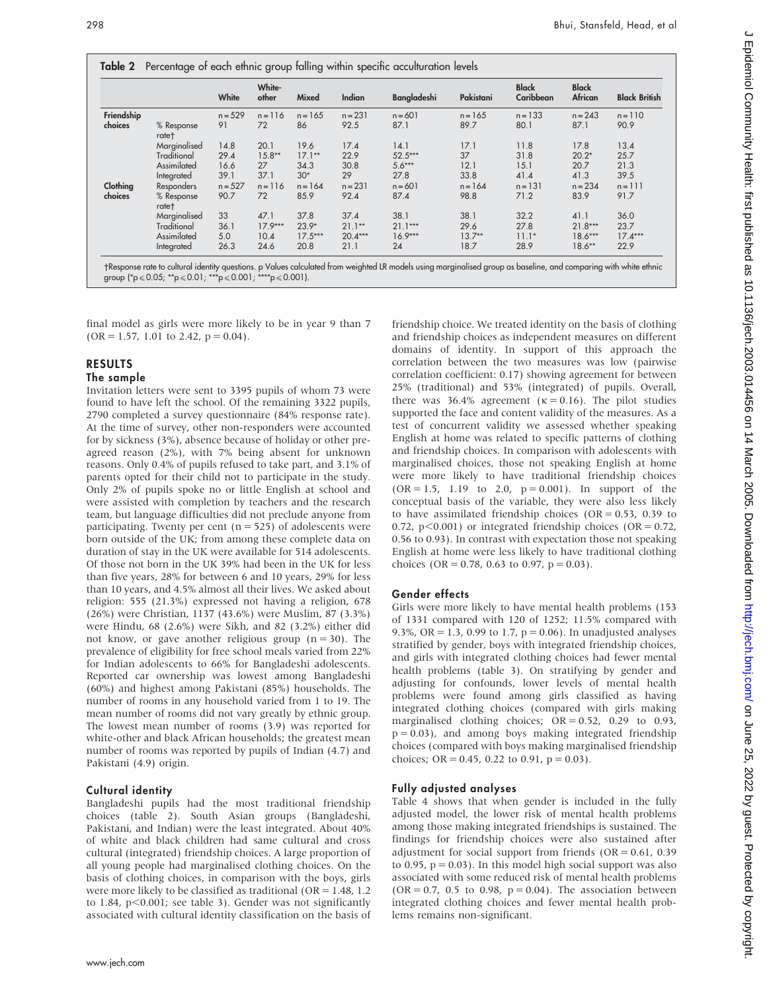|            |                     | White     | White-<br>other | Mixed     | Indian    | <b>Bangladeshi</b> | Pakistani | <b>Black</b><br>Caribbean | <b>Black</b><br>African | <b>Black British</b> |
|------------|---------------------|-----------|-----------------|-----------|-----------|--------------------|-----------|---------------------------|-------------------------|----------------------|
| Friendship |                     | $n = 529$ | $n = 116$       | $n = 165$ | $n = 231$ | $n = 601$          | $n = 165$ | $n = 133$                 | $n = 243$               | $n = 110$            |
| choices    | % Response<br>rate+ | 91        | 72              | 86        | 92.5      | 87.1               | 89.7      | 80.1                      | 87.1                    | 90.9                 |
|            | Marginalised        | 14.8      | 20.1            | 19.6      | 17.4      | 14.1               | 17.1      | 11.8                      | 17.8                    | 13.4                 |
|            | Traditional         | 29.4      | $15.8**$        | $17.1**$  | 22.9      | $52.5***$          | 37        | 31.8                      | $20.2*$                 | 25.7                 |
|            | Assimilated         | 16.6      | 27              | 34.3      | 30.8      | $5.6***$           | 12.1      | 15.1                      | 20.7                    | 21.3                 |
|            | Integrated          | 39.1      | 37.1            | $30*$     | 29        | 27.8               | 33.8      | 41.4                      | 41.3                    | 39.5                 |
| Clothing   | Responders          | $n = 527$ | $n = 116$       | $n = 164$ | $n = 231$ | $n = 601$          | $n = 164$ | $n = 131$                 | $n = 234$               | $n = 111$            |
| choices    | % Response<br>rate+ | 90.7      | 72              | 85.9      | 92.4      | 87.4               | 98.8      | 71.2                      | 83.9                    | 91.7                 |
|            | Marginalised        | 33        | 47.1            | 37.8      | 37.4      | 38.1               | 38.1      | 32.2                      | 41.1                    | 36.0                 |
|            | Traditional         | 36.1      | $17.9***$       | $23.9*$   | $21.1**$  | $21.1***$          | 29.6      | 27.8                      | $21.8***$               | 23.7                 |
|            | Assimilated         | 5.0       | 10.4            | $17.5***$ | $20.4***$ | $16.9***$          | $13.7**$  | $11.1*$                   | $18.6***$               | $17.4***$            |
|            | Integrated          | 26.3      | 24.6            | 20.8      | 21.1      | 24                 | 18.7      | 28.9                      | $18.6***$               | 22.9                 |

Response rate to cultural identity questions. p Values calculated from weighted LR models using marginalised group as baseline, and comparing with white ethnic group (\*p $\leq 0.05$ ; \*\*p $\leq 0.01$ ; \*\*\*p $\leq 0.001$ ; \*\*\*\*p $\leq 0.001$ ).

final model as girls were more likely to be in year 9 than 7  $(OR = 1.57, 1.01$  to 2.42,  $p = 0.04$ ).

# RESULTS

## The sample

Invitation letters were sent to 3395 pupils of whom 73 were found to have left the school. Of the remaining 3322 pupils, 2790 completed a survey questionnaire (84% response rate). At the time of survey, other non-responders were accounted for by sickness (3%), absence because of holiday or other preagreed reason (2%), with 7% being absent for unknown reasons. Only 0.4% of pupils refused to take part, and 3.1% of parents opted for their child not to participate in the study. Only 2% of pupils spoke no or little English at school and were assisted with completion by teachers and the research team, but language difficulties did not preclude anyone from participating. Twenty per cent ( $n = 525$ ) of adolescents were born outside of the UK; from among these complete data on duration of stay in the UK were available for 514 adolescents. Of those not born in the UK 39% had been in the UK for less than five years, 28% for between 6 and 10 years, 29% for less than 10 years, and 4.5% almost all their lives. We asked about religion: 555 (21.3%) expressed not having a religion, 678 (26%) were Christian, 1137 (43.6%) were Muslim, 87 (3.3%) were Hindu, 68 (2.6%) were Sikh, and 82 (3.2%) either did not know, or gave another religious group  $(n = 30)$ . The prevalence of eligibility for free school meals varied from 22% for Indian adolescents to 66% for Bangladeshi adolescents. Reported car ownership was lowest among Bangladeshi (60%) and highest among Pakistani (85%) households. The number of rooms in any household varied from 1 to 19. The mean number of rooms did not vary greatly by ethnic group. The lowest mean number of rooms (3.9) was reported for white-other and black African households; the greatest mean number of rooms was reported by pupils of Indian (4.7) and Pakistani (4.9) origin.

# Cultural identity

Bangladeshi pupils had the most traditional friendship choices (table 2). South Asian groups (Bangladeshi, Pakistani, and Indian) were the least integrated. About 40% of white and black children had same cultural and cross cultural (integrated) friendship choices. A large proportion of all young people had marginalised clothing choices. On the basis of clothing choices, in comparison with the boys, girls were more likely to be classified as traditional ( $OR = 1.48$ , 1.2) to 1.84,  $p<0.001$ ; see table 3). Gender was not significantly associated with cultural identity classification on the basis of friendship choice. We treated identity on the basis of clothing and friendship choices as independent measures on different domains of identity. In support of this approach the correlation between the two measures was low (pairwise correlation coefficient: 0.17) showing agreement for between 25% (traditional) and 53% (integrated) of pupils. Overall, there was 36.4% agreement ( $\kappa = 0.16$ ). The pilot studies supported the face and content validity of the measures. As a test of concurrent validity we assessed whether speaking English at home was related to specific patterns of clothing and friendship choices. In comparison with adolescents with marginalised choices, those not speaking English at home were more likely to have traditional friendship choices  $(OR = 1.5, 1.19 \text{ to } 2.0, p = 0.001)$ . In support of the conceptual basis of the variable, they were also less likely to have assimilated friendship choices ( $OR = 0.53$ , 0.39 to 0.72,  $p<0.001$ ) or integrated friendship choices (OR = 0.72, 0.56 to 0.93). In contrast with expectation those not speaking English at home were less likely to have traditional clothing choices (OR = 0.78, 0.63 to 0.97,  $p = 0.03$ ).

#### Gender effects

Girls were more likely to have mental health problems (153 of 1331 compared with 120 of 1252; 11.5% compared with 9.3%, OR = 1.3, 0.99 to 1.7,  $p = 0.06$ ). In unadjusted analyses stratified by gender, boys with integrated friendship choices, and girls with integrated clothing choices had fewer mental health problems (table 3). On stratifying by gender and adjusting for confounds, lower levels of mental health problems were found among girls classified as having integrated clothing choices (compared with girls making marginalised clothing choices;  $OR = 0.52$ ,  $0.29$  to 0.93,  $p = 0.03$ ), and among boys making integrated friendship choices (compared with boys making marginalised friendship choices; OR = 0.45, 0.22 to 0.91,  $p = 0.03$ ).

#### Fully adjusted analyses

Table 4 shows that when gender is included in the fully adjusted model, the lower risk of mental health problems among those making integrated friendships is sustained. The findings for friendship choices were also sustained after adjustment for social support from friends ( $OR = 0.61$ , 0.39 to 0.95,  $p = 0.03$ ). In this model high social support was also associated with some reduced risk of mental health problems  $(OR = 0.7, 0.5$  to 0.98,  $p = 0.04$ ). The association between integrated clothing choices and fewer mental health problems remains non-significant.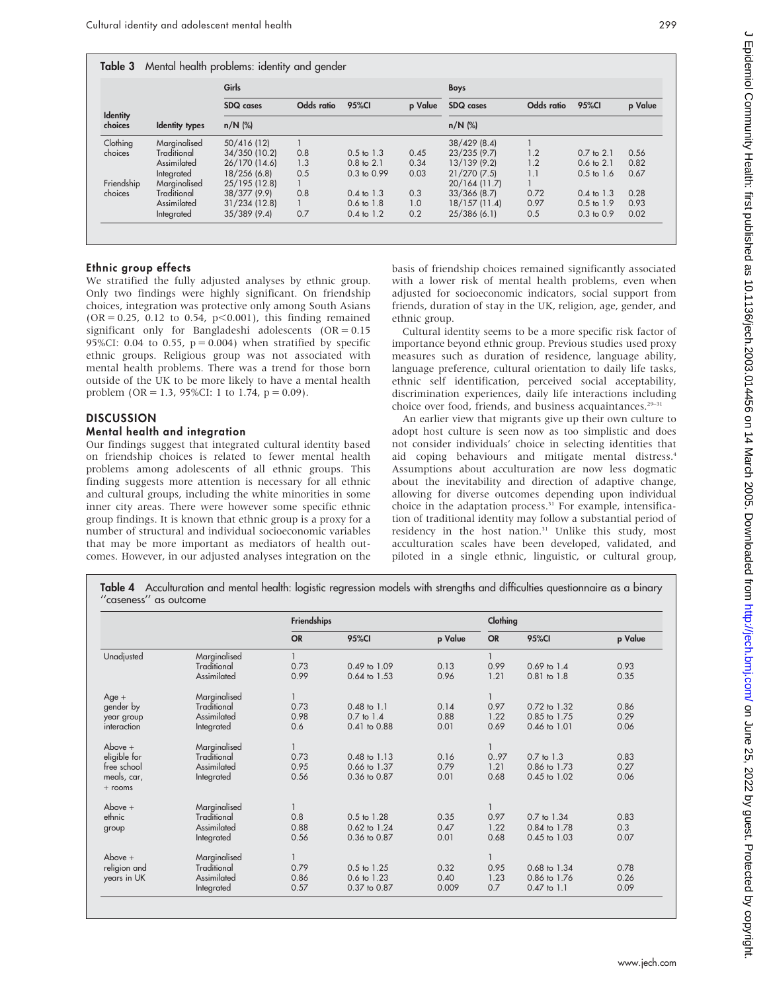|                            | Girls          |                |            |                       | <b>Boys</b> |                |            |                       |         |
|----------------------------|----------------|----------------|------------|-----------------------|-------------|----------------|------------|-----------------------|---------|
|                            |                | SDQ cases      | Odds ratio | <b>95%CI</b>          | p Value     | SDQ cases      | Odds ratio | 95%CI                 | p Value |
| <b>Identity</b><br>choices | Identity types | $n/N$ (%)      |            |                       |             | $n/N$ (%)      |            |                       |         |
| Clothing                   | Marginalised   | 50/416(12)     |            |                       |             | 38/429(8.4)    |            |                       |         |
| choices                    | Traditional    | 34/350 (10.2)  | 0.8        | $0.5 \text{ to } 1.3$ | 0.45        | 23/235(9.7)    | 1.2        | $0.7$ to $2.1$        | 0.56    |
|                            | Assimilated    | 26/170 (14.6)  | 1.3        | $0.8 \text{ to } 2.1$ | 0.34        | 13/139 (9.2)   | 1.2        | $0.6 \text{ to } 2.1$ | 0.82    |
|                            | Integrated     | 18/256 (6.8)   | 0.5        | 0.3 to 0.99           | 0.03        | $21/270$ (7.5) | 1.1        | $0.5$ to $1.6$        | 0.67    |
| Friendship                 | Marginalised   | 25/195 (12.8)  |            |                       |             | 20/164 (11.7)  |            |                       |         |
| choices                    | Traditional    | 38/377 (9.9)   | 0.8        | $0.4 \text{ to } 1.3$ | 0.3         | $33/366$ (8.7) | 0.72       | $0.4 \text{ to } 1.3$ | 0.28    |
|                            | Assimilated    | 31/234(12.8)   |            | $0.6 \text{ to } 1.8$ | 1.0         | 18/157(11.4)   | 0.97       | $0.5$ to $1.9$        | 0.93    |
|                            | Integrated     | $35/389$ (9.4) | 0.7        | $0.4$ to $1.2$        | 0.2         | 25/386(6.1)    | 0.5        | $0.3$ to $0.9$        | 0.02    |

# Ethnic group effects

We stratified the fully adjusted analyses by ethnic group. Only two findings were highly significant. On friendship choices, integration was protective only among South Asians  $(OR = 0.25, 0.12$  to 0.54,  $p < 0.001$ ), this finding remained significant only for Bangladeshi adolescents  $(OR = 0.15)$ 95%CI: 0.04 to 0.55,  $p = 0.004$ ) when stratified by specific ethnic groups. Religious group was not associated with mental health problems. There was a trend for those born outside of the UK to be more likely to have a mental health problem (OR = 1.3, 95%CI: 1 to 1.74,  $p = 0.09$ ).

### **DISCUSSION**

#### Mental health and integration

Our findings suggest that integrated cultural identity based on friendship choices is related to fewer mental health problems among adolescents of all ethnic groups. This finding suggests more attention is necessary for all ethnic and cultural groups, including the white minorities in some inner city areas. There were however some specific ethnic group findings. It is known that ethnic group is a proxy for a number of structural and individual socioeconomic variables that may be more important as mediators of health outcomes. However, in our adjusted analyses integration on the

basis of friendship choices remained significantly associated with a lower risk of mental health problems, even when adjusted for socioeconomic indicators, social support from friends, duration of stay in the UK, religion, age, gender, and ethnic group.

Cultural identity seems to be a more specific risk factor of importance beyond ethnic group. Previous studies used proxy measures such as duration of residence, language ability, language preference, cultural orientation to daily life tasks, ethnic self identification, perceived social acceptability, discrimination experiences, daily life interactions including choice over food, friends, and business acquaintances.<sup>29-31</sup>

An earlier view that migrants give up their own culture to adopt host culture is seen now as too simplistic and does not consider individuals' choice in selecting identities that aid coping behaviours and mitigate mental distress.4 Assumptions about acculturation are now less dogmatic about the inevitability and direction of adaptive change, allowing for diverse outcomes depending upon individual choice in the adaptation process.31 For example, intensification of traditional identity may follow a substantial period of residency in the host nation.<sup>31</sup> Unlike this study, most acculturation scales have been developed, validated, and piloted in a single ethnic, linguistic, or cultural group,

Table 4 Acculturation and mental health: logistic regression models with strengths and difficulties questionnaire as a binary ''caseness'' as outcome

|                          |                             | Friendships |                  |              | Clothing     |                 |             |
|--------------------------|-----------------------------|-------------|------------------|--------------|--------------|-----------------|-------------|
|                          |                             | <b>OR</b>   | 95%CI            | p Value      | <b>OR</b>    | 95%CI           | p Value     |
| Unadjusted               | Marginalised                |             |                  |              |              |                 |             |
|                          | Traditional                 | 0.73        | 0.49 to 1.09     | 0.13         | 0.99         | $0.69$ to $1.4$ | 0.93        |
|                          | Assimilated                 | 0.99        | 0.64 to 1.53     | 0.96         | 1.21         | $0.81$ to $1.8$ | 0.35        |
| $Age +$                  | Marginalised                |             |                  |              |              |                 |             |
| gender by                | <b>Traditional</b>          | 0.73        | $0.48$ to $1.1$  | 0.14         | 0.97         | 0.72 to 1.32    | 0.86        |
| year group               | Assimilated                 | 0.98        | $0.7$ to $1.4$   | 0.88         | 1.22         | 0.85 to 1.75    | 0.29        |
| interaction              | Integrated                  | 0.6         | $0.41$ to $0.88$ | 0.01         | 0.69         | 0.46 to 1.01    | 0.06        |
| Above $+$                | Marginalised                |             |                  |              |              |                 |             |
| eligible for             | Traditional                 | 0.73        | $0.48$ to $1.13$ | 0.16         | 0.97         | $0.7$ to $1.3$  | 0.83        |
| free school              | Assimilated                 | 0.95        | 0.66 to 1.37     | 0.79         | 1.21         | 0.86 to 1.73    | 0.27        |
| meals, car,<br>$+$ rooms | Integrated                  | 0.56        | 0.36 to 0.87     | 0.01         | 0.68         | 0.45 to 1.02    | 0.06        |
| Above $+$                |                             |             |                  |              |              |                 |             |
|                          | Marginalised<br>Traditional |             | $0.5$ to $1.28$  |              |              | 0.7 to 1.34     |             |
| ethnic                   | Assimilated                 | 0.8<br>0.88 | 0.62 to 1.24     | 0.35<br>0.47 | 0.97<br>1.22 | 0.84 to 1.78    | 0.83<br>0.3 |
| group                    | Integrated                  | 0.56        | 0.36 to 0.87     | 0.01         | 0.68         | 0.45 to 1.03    | 0.07        |
|                          |                             |             |                  |              |              |                 |             |
| Above $+$                | Marginalised                |             |                  |              |              |                 |             |
| religion and             | Traditional                 | 0.79        | $0.5$ to $1.25$  | 0.32         | 0.95         | 0.68 to 1.34    | 0.78        |
| years in UK              | Assimilated                 | 0.86        | 0.6 to 1.23      | 0.40         | 1.23         | 0.86 to 1.76    | 0.26        |
|                          | Integrated                  | 0.57        | 0.37 to 0.87     | 0.009        | 0.7          | $0.47$ to $1.1$ | 0.09        |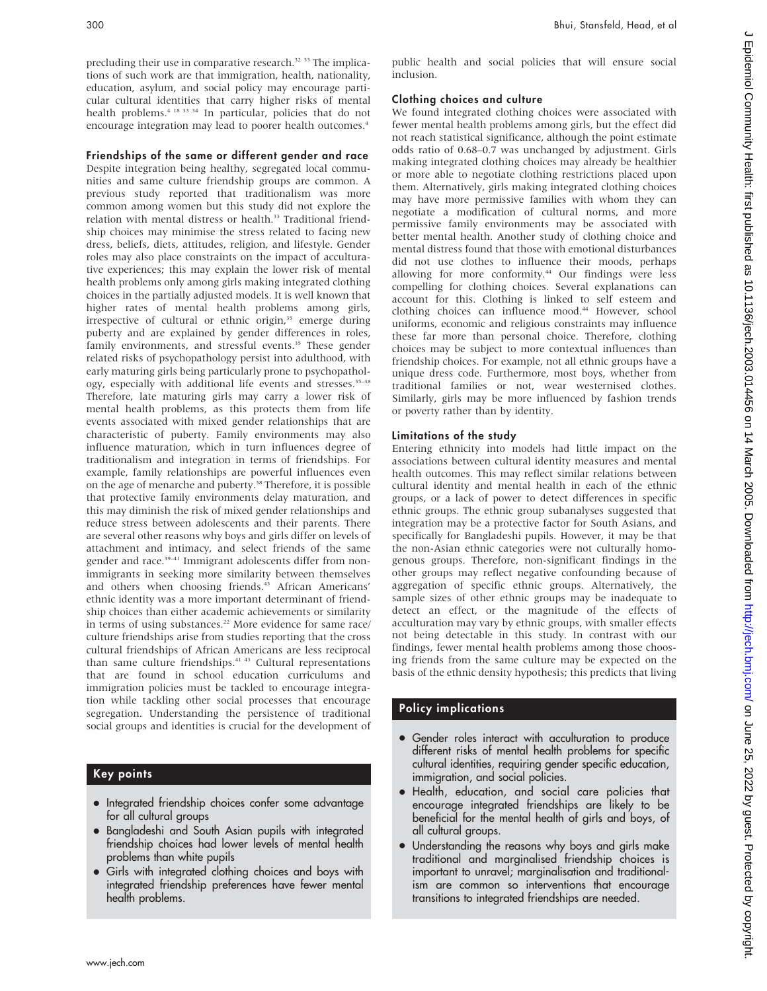precluding their use in comparative research.<sup>32</sup><sup>33</sup> The implications of such work are that immigration, health, nationality, education, asylum, and social policy may encourage particular cultural identities that carry higher risks of mental health problems.<sup>4 18 33 34</sup> In particular, policies that do not encourage integration may lead to poorer health outcomes.4

#### Friendships of the same or different gender and race

Despite integration being healthy, segregated local communities and same culture friendship groups are common. A previous study reported that traditionalism was more common among women but this study did not explore the relation with mental distress or health.<sup>33</sup> Traditional friendship choices may minimise the stress related to facing new dress, beliefs, diets, attitudes, religion, and lifestyle. Gender roles may also place constraints on the impact of acculturative experiences; this may explain the lower risk of mental health problems only among girls making integrated clothing choices in the partially adjusted models. It is well known that higher rates of mental health problems among girls, irrespective of cultural or ethnic origin,<sup>35</sup> emerge during puberty and are explained by gender differences in roles, family environments, and stressful events.<sup>35</sup> These gender related risks of psychopathology persist into adulthood, with early maturing girls being particularly prone to psychopathology, especially with additional life events and stresses.<sup>35-38</sup> Therefore, late maturing girls may carry a lower risk of mental health problems, as this protects them from life events associated with mixed gender relationships that are characteristic of puberty. Family environments may also influence maturation, which in turn influences degree of traditionalism and integration in terms of friendships. For example, family relationships are powerful influences even on the age of menarche and puberty.<sup>38</sup> Therefore, it is possible that protective family environments delay maturation, and this may diminish the risk of mixed gender relationships and reduce stress between adolescents and their parents. There are several other reasons why boys and girls differ on levels of attachment and intimacy, and select friends of the same gender and race.<sup>39-41</sup> Immigrant adolescents differ from nonimmigrants in seeking more similarity between themselves and others when choosing friends.<sup>43</sup> African Americans' ethnic identity was a more important determinant of friendship choices than either academic achievements or similarity in terms of using substances.<sup>22</sup> More evidence for same race/ culture friendships arise from studies reporting that the cross cultural friendships of African Americans are less reciprocal than same culture friendships.<sup>41 43</sup> Cultural representations that are found in school education curriculums and immigration policies must be tackled to encourage integration while tackling other social processes that encourage segregation. Understanding the persistence of traditional social groups and identities is crucial for the development of

## Key points

- Integrated friendship choices confer some advantage for all cultural groups
- Bangladeshi and South Asian pupils with integrated friendship choices had lower levels of mental health problems than white pupils
- Girls with integrated clothing choices and boys with integrated friendship preferences have fewer mental health problems.

public health and social policies that will ensure social inclusion.

#### Clothing choices and culture

We found integrated clothing choices were associated with fewer mental health problems among girls, but the effect did not reach statistical significance, although the point estimate odds ratio of 0.68–0.7 was unchanged by adjustment. Girls making integrated clothing choices may already be healthier or more able to negotiate clothing restrictions placed upon them. Alternatively, girls making integrated clothing choices may have more permissive families with whom they can negotiate a modification of cultural norms, and more permissive family environments may be associated with better mental health. Another study of clothing choice and mental distress found that those with emotional disturbances did not use clothes to influence their moods, perhaps allowing for more conformity.44 Our findings were less compelling for clothing choices. Several explanations can account for this. Clothing is linked to self esteem and clothing choices can influence mood.<sup>44</sup> However, school uniforms, economic and religious constraints may influence these far more than personal choice. Therefore, clothing choices may be subject to more contextual influences than friendship choices. For example, not all ethnic groups have a unique dress code. Furthermore, most boys, whether from traditional families or not, wear westernised clothes. Similarly, girls may be more influenced by fashion trends or poverty rather than by identity.

#### Limitations of the study

Entering ethnicity into models had little impact on the associations between cultural identity measures and mental health outcomes. This may reflect similar relations between cultural identity and mental health in each of the ethnic groups, or a lack of power to detect differences in specific ethnic groups. The ethnic group subanalyses suggested that integration may be a protective factor for South Asians, and specifically for Bangladeshi pupils. However, it may be that the non-Asian ethnic categories were not culturally homogenous groups. Therefore, non-significant findings in the other groups may reflect negative confounding because of aggregation of specific ethnic groups. Alternatively, the sample sizes of other ethnic groups may be inadequate to detect an effect, or the magnitude of the effects of acculturation may vary by ethnic groups, with smaller effects not being detectable in this study. In contrast with our findings, fewer mental health problems among those choosing friends from the same culture may be expected on the basis of the ethnic density hypothesis; this predicts that living

#### Policy implications

- Gender roles interact with acculturation to produce different risks of mental health problems for specific cultural identities, requiring gender specific education, immigration, and social policies.
- Health, education, and social care policies that encourage integrated friendships are likely to be beneficial for the mental health of girls and boys, of all cultural groups.
- Understanding the reasons why boys and girls make traditional and marginalised friendship choices is important to unravel; marginalisation and traditionalism are common so interventions that encourage transitions to integrated friendships are needed.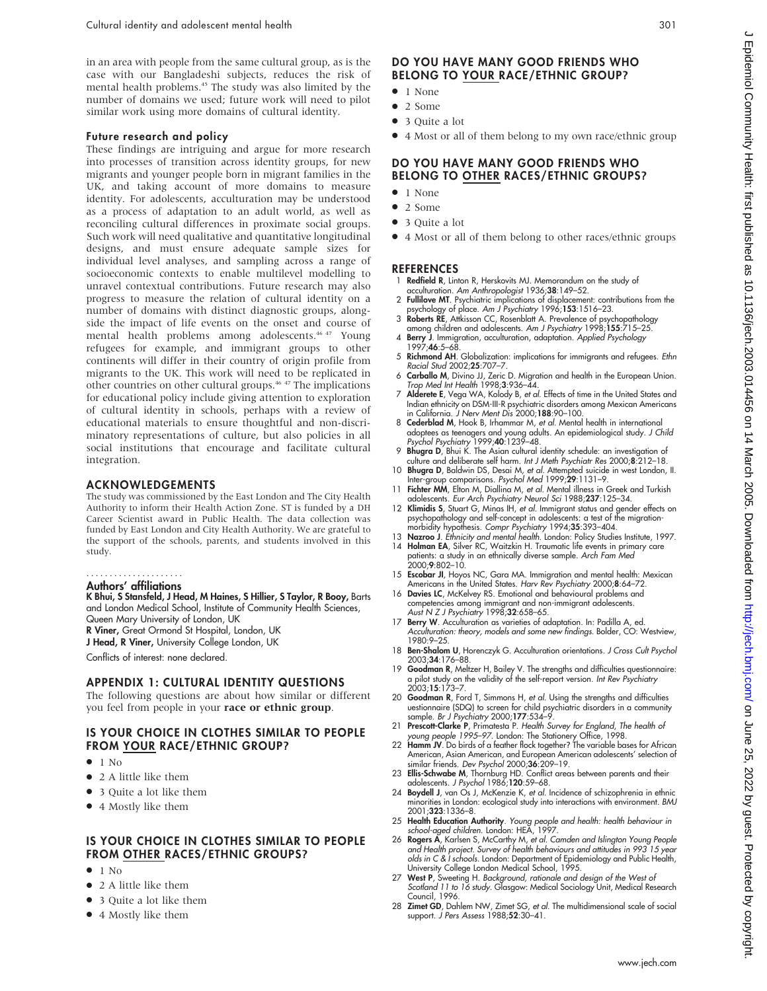in an area with people from the same cultural group, as is the case with our Bangladeshi subjects, reduces the risk of mental health problems.<sup>45</sup> The study was also limited by the number of domains we used; future work will need to pilot similar work using more domains of cultural identity.

#### Future research and policy

These findings are intriguing and argue for more research into processes of transition across identity groups, for new migrants and younger people born in migrant families in the UK, and taking account of more domains to measure identity. For adolescents, acculturation may be understood as a process of adaptation to an adult world, as well as reconciling cultural differences in proximate social groups. Such work will need qualitative and quantitative longitudinal designs, and must ensure adequate sample sizes for individual level analyses, and sampling across a range of socioeconomic contexts to enable multilevel modelling to unravel contextual contributions. Future research may also progress to measure the relation of cultural identity on a number of domains with distinct diagnostic groups, alongside the impact of life events on the onset and course of mental health problems among adolescents.46 47 Young refugees for example, and immigrant groups to other continents will differ in their country of origin profile from migrants to the UK. This work will need to be replicated in other countries on other cultural groups.<sup>46 47</sup> The implications for educational policy include giving attention to exploration of cultural identity in schools, perhaps with a review of educational materials to ensure thoughtful and non-discriminatory representations of culture, but also policies in all social institutions that encourage and facilitate cultural integration.

#### ACKNOWLEDGEMENTS

The study was commissioned by the East London and The City Health Authority to inform their Health Action Zone. ST is funded by a DH Career Scientist award in Public Health. The data collection was funded by East London and City Health Authority. We are grateful to the support of the schools, parents, and students involved in this study.

#### Authors' affiliations .....................

K Bhui, S Stansfeld, J Head, M Haines, S Hillier, S Taylor, R Booy, Barts and London Medical School, Institute of Community Health Sciences, Queen Mary University of London, UK

R Viner, Great Ormond St Hospital, London, UK

J Head, R Viner, University College London, UK

Conflicts of interest: none declared.

#### APPENDIX 1: CULTURAL IDENTITY QUESTIONS

The following questions are about how similar or different you feel from people in your race or ethnic group.

#### IS YOUR CHOICE IN CLOTHES SIMILAR TO PEOPLE FROM YOUR RACE/ETHNIC GROUP?

- $\bullet$  1 No
- 2 A little like them
- 3 Quite a lot like them
- 4 Mostly like them

#### IS YOUR CHOICE IN CLOTHES SIMILAR TO PEOPLE FROM OTHER RACES/ETHNIC GROUPS?

- $\bullet$  1 No
- 2 A little like them
- 3 Quite a lot like them
- $\bullet$  4 Mostly like them

#### DO YOU HAVE MANY GOOD FRIENDS WHO BELONG TO YOUR RACE/ETHNIC GROUP?

- $\bullet$  1 None
- $\bullet$  2 Some
- 3 Quite a lot
- N 4 Most or all of them belong to my own race/ethnic group

#### DO YOU HAVE MANY GOOD FRIENDS WHO BELONG TO OTHER RACES/ETHNIC GROUPS?

- $\bullet$  1 None
- $\bullet$  2 Some
- 3 Quite a lot
- N 4 Most or all of them belong to other races/ethnic groups

#### **REFERENCES**

- 1 Redfield R, Linton R, Herskovits MJ. Memorandum on the study of acculturation. Am Anthropologist 1936;38:149-52.
- 2 Fullilove MT. Psychiatric implications of displacement: contributions from the
- psychology of place. Am J Psychiatry 1996;1**53**:1516–23.<br>3 **Roberts RE**, Attkisson CC, Rosenblatt A. Prevalence of psychopathology<br>3 among children and adolescents. Am J Psychiatry 1998;1**55**:715–25.
- 4 Berry J. Immigration, acculturation, adaptation. Applied Psychology 1997;46:5–68.
- 5 Richmond AH. Globalization: implications for immigrants and refugees. Ethn Racial Stud 2002;25:707–7.
- 6 Carballo M, Divino JJ, Zeric D. Migration and health in the European Union. Trop Med Int Health 1998;3:936–44.
- 7 Alderete E, Vega WA, Kolody B, et al. Effects of time in the United States and Indian ethnicity on DSM-III-R psychiatric disorders among Mexican Americans in California. J Nerv Ment Dis 2000;188:90–100.
- 8 Cederblad M, Hook B, Irhammar M, et al. Mental health in international adoptees as teenagers and young adults. An epidemiological study. J Child<br>Psychol Psychiatry 1999;40:1239–48.<br>9 **Bhugra D**, Bhui K. The Asian cultural identity schedule: an investigation of<br>culture and deliberate self harm
- 
- 10 **Bhugra D**, Baldwin DS, Desai M, et al. Attempted suicide in west London, II.<br>
Inter-group comparisons. Psychol Med 1999;29:1131-9.<br>
11 **Fichter MM**, Elton M, Diallina M, et al. Mental illness in Greek and Turkish<br>
12
- 
- psychopathology and self-concept in adolescents: a test of the migration-
- morbidity hypothesis. Compr Psychiatry 1994;35:393–404.<br>13 **Nazroo J**. *Ethnicity and mental health.* London: Policy Studies Institute, 1997.<br>14 **Holman EA**, Silver RC, Waitzkin H. Traumatic life events in primary care
- patients: a study in an ethnically diverse sample. Arch Fam Med 2000;9:802–10.
- 15 Escobar JI, Hoyos NC, Gara MA. Immigration and mental health: Mexican Americans in the United States. Harv Rev Psychiatry 2000;8:64–72.
- 16 Davies LC, McKelvey RS. Emotional and behavioural problems and competencies among immigrant and non-immigrant adolescents. Aust N Z J Psychiatry 1998;32:658–65.
- 17 Berry W. Acculturation as varieties of adaptation. In: Padilla A, ed. Acculturation: theory, models and some new findings. Bolder, CO: Westview, 1980:9–25.
- 18 Ben-Shalom U, Horenczyk G. Acculturation orientations. J Cross Cult Psychol 2003;34:176–88.
- 19 **Goodman R**, Meltzer H, Bailey V. The strengths and difficulties questionnaire:<br>a pilot study on the validity of the self-report version. Int Rev Psychiatry 2003;15:173–7.
- 20 Goodman R, Ford T, Simmons H, et al. Using the strengths and difficulties uestionnaire (SDQ) to screen for child psychiatric disorders in a community sample. Br J Psychiatry 2000;177:534-9.
- 21 Prescott-Clarke P, Primatesta P. Health Survey for England, The health of young people 1995–97. London: The Stationery Office, 1998. 22 Hamm JV. Do birds of a feather flock together? The variable bases for African
- American, Asian American, and European American adolescents' selection of<br>similar friends. *Dev Psychol 2000;36:209*–19.
- 23 Ellis-Schwabe M, Thornburg HD. Conflict areas between parents and their adolescents. J Psychol 1986;120:59–68.
- 24 Boydell J, van Os J, McKenzie K, et al. Incidence of schizophrenia in ethnic minorities in London: ecological study into interactions with environment. BMJ 2001;323:1336–8.
- 25 Health Education Authority. Young people and health: health behaviour in school-aged children. London: HEA, 1997.
- 26 Rogers A, Karlsen S, McCarthy M, et al. Camden and Islington Young People and Health project. Survey of health behaviours and attitudes in 993 15 year olds in C & I schools. London: Department of Epidemiology and Public Health, University College London Medical School, 1995.
- 27 West P, Sweeting H. Background, rationale and design of the West of Scotland 11 to 16 study. Glasgow: Medical Sociology Unit, Medical Research Council, 1996.
- 28 Zimet GD, Dahlem NW, Zimet SG, et al. The multidimensional scale of social support. J Pers Assess 1988;52:30–41.